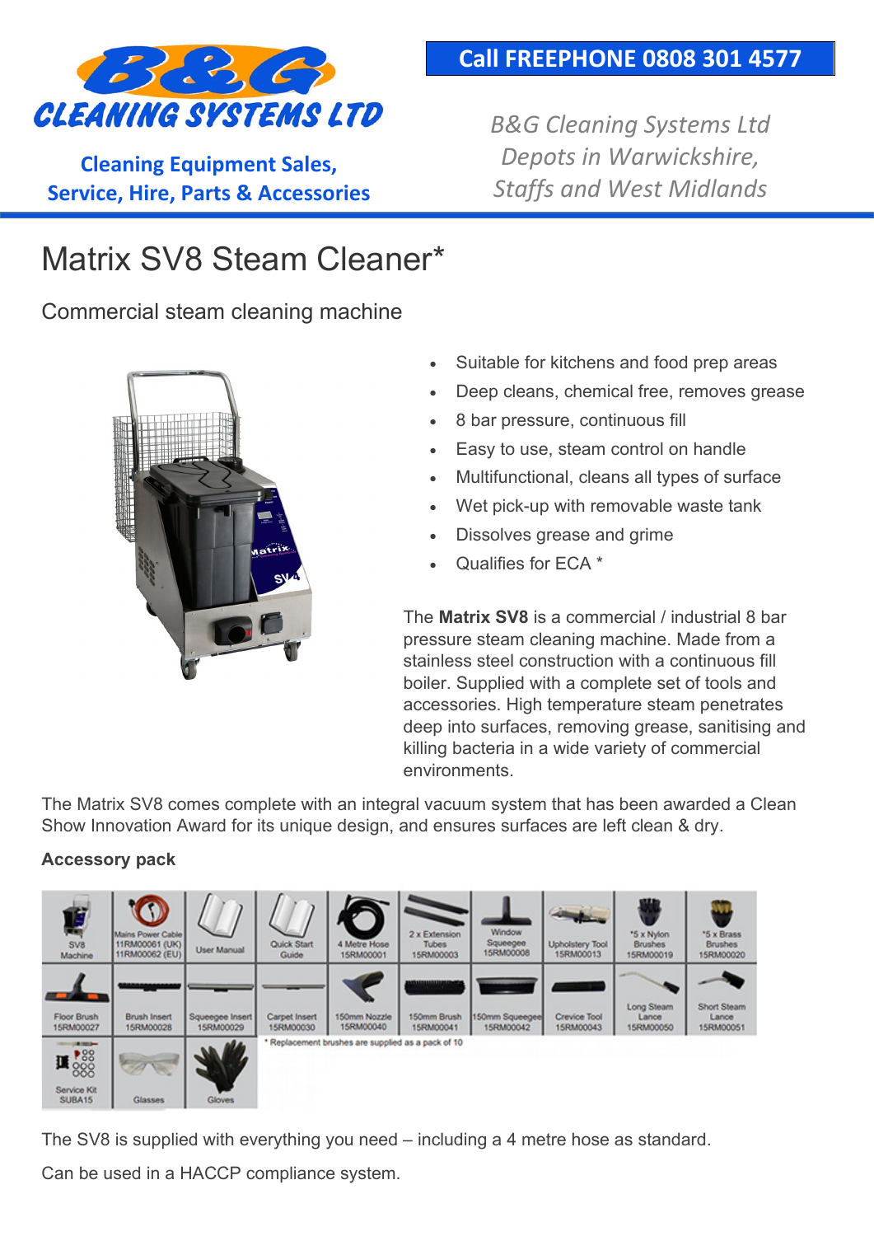

**Cleaning Equipment Sales, Service, Hire, Parts & Accessories**

### **Call FREEPHONE 0808 301 4577**

*B&G Cleaning Systems Ltd Depots in Warwickshire, Staffs and West Midlands*

# Matrix SV8 Steam Cleaner\*

Commercial steam cleaning machine



- Suitable for kitchens and food prep areas
- Deep cleans, chemical free, removes grease
- 8 bar pressure, continuous fill
- Easy to use, steam control on handle
- Multifunctional, cleans all types of surface
- Wet pick-up with removable waste tank
- Dissolves grease and grime
- Qualifies for ECA \*

The **Matrix SV8** is a commercial / industrial 8 bar pressure steam cleaning machine. Made from a stainless steel construction with a continuous fill boiler. Supplied with a complete set of tools and accessories. High temperature steam penetrates deep into surfaces, removing grease, sanitising and killing bacteria in a wide variety of commercial environments.

The Matrix SV8 comes complete with an integral vacuum system that has been awarded a Clean Show Innovation Award for its unique design, and ensures surfaces are left clean & dry.

#### **Accessory pack**



The SV8 is supplied with everything you need – including a 4 metre hose as standard.

Can be used in a HACCP compliance system.